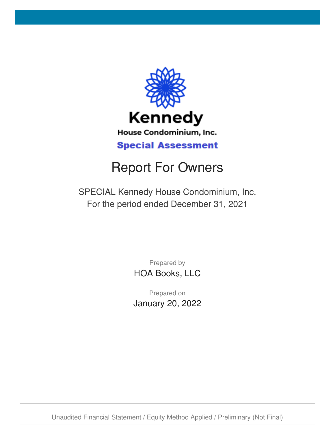

# Report For Owners

SPECIAL Kennedy House Condominium, Inc. For the period ended December 31, 2021

> Prepared by HOA Books, LLC

Prepared on January 20, 2022

Unaudited Financial Statement / Equity Method Applied / Preliminary (Not Final)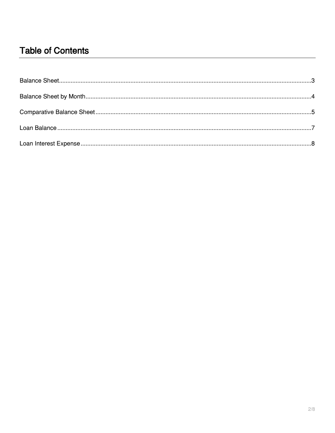#### **Table of Contents**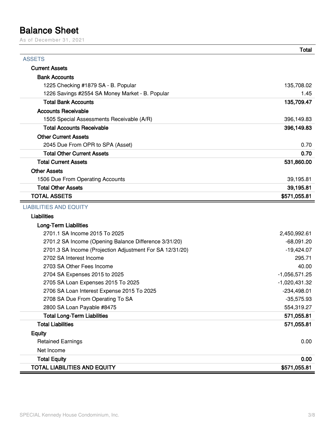#### <span id="page-2-0"></span>**Balance Sheet**

As of December 31, 2021

|                                                          | <b>Total</b>    |
|----------------------------------------------------------|-----------------|
| <b>ASSETS</b>                                            |                 |
| <b>Current Assets</b>                                    |                 |
| <b>Bank Accounts</b>                                     |                 |
| 1225 Checking #1879 SA - B. Popular                      | 135,708.02      |
| 1226 Savings #2554 SA Money Market - B. Popular          | 1.45            |
| <b>Total Bank Accounts</b>                               | 135,709.47      |
| <b>Accounts Receivable</b>                               |                 |
| 1505 Special Assessments Receivable (A/R)                | 396,149.83      |
| <b>Total Accounts Receivable</b>                         | 396,149.83      |
| <b>Other Current Assets</b>                              |                 |
| 2045 Due From OPR to SPA (Asset)                         | 0.70            |
| <b>Total Other Current Assets</b>                        | 0.70            |
| <b>Total Current Assets</b>                              | 531,860.00      |
| <b>Other Assets</b>                                      |                 |
| 1506 Due From Operating Accounts                         | 39,195.81       |
| <b>Total Other Assets</b>                                | 39,195.81       |
| <b>TOTAL ASSETS</b>                                      | \$571,055.81    |
| <b>LIABILITIES AND EQUITY</b>                            |                 |
| <b>Liabilities</b>                                       |                 |
| <b>Long-Term Liabilities</b>                             |                 |
| 2701.1 SA Income 2015 To 2025                            | 2,450,992.61    |
| 2701.2 SA Income (Opening Balance Difference 3/31/20)    | $-68,091.20$    |
| 2701.3 SA Income (Projection Adjustment For SA 12/31/20) | $-19,424.07$    |
| 2702 SA Interest Income                                  | 295.71          |
| 2703 SA Other Fees Income                                | 40.00           |
| 2704 SA Expenses 2015 to 2025                            | $-1,056,571.25$ |
| 2705 SA Loan Expenses 2015 To 2025                       | $-1,020,431.32$ |
| 2706 SA Loan Interest Expense 2015 To 2025               | -234,498.01     |
| 2708 SA Due From Operating To SA                         | $-35,575.93$    |
| 2800 SA Loan Payable #8475                               | 554,319.27      |
| <b>Total Long-Term Liabilities</b>                       | 571,055.81      |
| <b>Total Liabilities</b>                                 | 571,055.81      |
| <b>Equity</b>                                            |                 |
| <b>Retained Earnings</b>                                 | 0.00            |
| Net Income                                               |                 |
| <b>Total Equity</b>                                      | 0.00            |
| <b>TOTAL LIABILITIES AND EQUITY</b>                      | \$571,055.81    |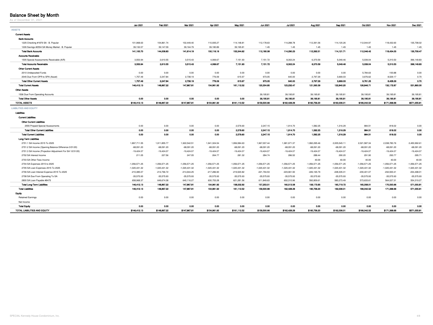#### <span id="page-3-0"></span>**Balance Sheet by Month**

As of December 31, 2021

|                                                          | Jan 2021        | Feb 2021        | Mar 2021        | Apr 2021        | May 2021        | Jun 2021               | <b>Jul 2021</b> | Aug 2021      | Sep 2021        | Oct 2021        | <b>Nov 2021</b>        | Dec 2021        |
|----------------------------------------------------------|-----------------|-----------------|-----------------|-----------------|-----------------|------------------------|-----------------|---------------|-----------------|-----------------|------------------------|-----------------|
| <b>ASSETS</b>                                            |                 |                 |                 |                 |                 |                        |                 |               |                 |                 |                        |                 |
| <b>Current Assets</b>                                    |                 |                 |                 |                 |                 |                        |                 |               |                 |                 |                        |                 |
| <b>Bank Accounts</b>                                     |                 |                 |                 |                 |                 |                        |                 |               |                 |                 |                        |                 |
| 1225 Checking #1879 SA - B. Popular                      | 101,968.63      | 104,861.74      | 102,449.40      | 110,935.27      | 114,148.81      | 112,178.63             | 114,288.78      | 112,391.06    | 114,120.26      | 112,044.97      | 118,432.60             | 135,708.02      |
| 1226 Savings #2554 SA Money Market - B. Popular          | 39,132.07       | 39,147.09       | 39,164.79       | 39,180.89       | 39,195.81       | 1.45                   | 1.45            | 1.45          | 1.45            | 1.45            | 1.45                   | 1.45            |
| <b>Total Bank Accounts</b>                               | 141,100.70      | 144,008.83      | 141,614.19      | 150,116.16      | 153,344.62      | 112,180.08             | 114,290.23      | 112,392.51    | 114,121.71      | 112,046.42      | 118,434.05             | 135,709.47      |
| <b>Accounts Receivable</b>                               |                 |                 |                 |                 |                 |                        |                 |               |                 |                 |                        |                 |
| 1505 Special Assessments Receivable (A/R)                | 3,553.94        | 2,610.55        | 3,515.43        | 4,069.67        | 7,151.93        | 7,151.72               | 8,302.24        | 6,370.59      | 5,049.46        | 5,039.04        | 5,310.53               | 396,149.83      |
| <b>Total Accounts Receivable</b>                         | 3,553.94        | 2,610.55        | 3,515.43        | 4,069.67        | 7,151.93        | 7,151.72               | 8,302.24        | 6,370.59      | 5,049.46        | 5,039.04        | 5,310.53               | 396,149.83      |
| <b>Other Current Assets</b>                              |                 |                 |                 |                 |                 |                        |                 |               |                 |                 |                        |                 |
| 2010 Undeposited Funds                                   | 0.00            | 0.00            | 0.00            | 0.00            | 0.00            | 0.00                   | 0.00            | 0.00          | 0.00            | 5,784.63        | $-100.88$              | 0.00            |
| 2045 Due From OPR to SPA (Asset)                         | 1,757.49        | 2,247.84        | 2,738.19        | 776.09          | 615.97          | 973.05                 | 640.00          | 2,797.29      | 3,669.03        | 3,976.62        | 8,529.17               | 0.70            |
| <b>Total Other Current Assets</b>                        | 1,757.49        | 2,247.84        | 2,738.19        | 776.09          | 615.97          | 973.05                 | 640.00          | 2,797.29      | 3,669.03        | 9,761.25        | 8,428.29               | 0.70            |
| <b>Total Current Assets</b>                              | 146,412.13      | 148,867.22      | 147,867.81      | 154,961.92      | 161,112.52      | 120,304.85             | 123,232.47      | 121,560.39    | 122,840.20      | 126,846.71      | 132,172.87             | 531,860.00      |
| <b>Other Assets</b>                                      |                 |                 |                 |                 |                 |                        |                 |               |                 |                 |                        |                 |
|                                                          |                 |                 |                 |                 |                 |                        | 39,195.81       |               | 39,195.81       |                 |                        | 39,195.81       |
| 1506 Due From Operating Accounts                         |                 |                 |                 | 0.00            | 0.00            | 39,195.81<br>39,195.81 |                 | 39,195.81     |                 | 39,195.81       | 39,195.81<br>39,195.81 |                 |
| <b>Total Other Assets</b>                                | 0.00            | 0.00            | 0.00            |                 |                 |                        | 39,195.81       | 39,195.81     | 39,195.81       | 39,195.81       |                        | 39,195.81       |
| <b>TOTAL ASSETS</b>                                      | \$146,412.13    | \$148,867.22    | \$147,867.81    | \$154,961.92    | \$161,112.52    | \$159,500.66           | \$162,428.28    | \$160,756.20  | \$162,036.01    | \$166,042.52    | \$171,368.68           | \$571,055.81    |
| <b>LIABILITIES AND EQUITY</b>                            |                 |                 |                 |                 |                 |                        |                 |               |                 |                 |                        |                 |
|                                                          |                 |                 |                 |                 |                 |                        |                 |               |                 |                 |                        |                 |
| Liabilities                                              |                 |                 |                 |                 |                 |                        |                 |               |                 |                 |                        |                 |
| <b>Current Liabilities</b>                               |                 |                 |                 |                 |                 |                        |                 |               |                 |                 |                        |                 |
| <b>Other Current Liabilities</b>                         |                 |                 |                 |                 |                 |                        |                 |               |                 |                 |                        |                 |
| 2555 Prepaid Special Assessments                         | 0.00            | 0.00            | 0.00            | 0.00            | 2,579.60        | 2,247.15               | 1,914.70        | 1,582.25      | 1,316.29        | 984.51          | 818.02                 | 0.00            |
| <b>Total Other Current Liabilities</b>                   | 0.00            | 0.00            | 0.00            | 0.00            | 2,579.60        | 2,247.15               | 1,914.70        | 1,582.25      | 1,316.29        | 984.51          | 818.02                 | 0.00            |
| <b>Total Current Liabilities</b>                         | 0.00            | 0.00            | 0.00            | 0.00            | 2,579.60        | 2,247.15               | 1,914.70        | 1,582.25      | 1,316.29        | 984.51          | 818.02                 | 0.00            |
| Long-Term Liabilities                                    |                 |                 |                 |                 |                 |                        |                 |               |                 |                 |                        |                 |
| 2701.1 SA Income 2015 To 2025                            | 1,897,711.55    | 1,911,855.77    | 1,922,542.51    | 1,941,324.54    | 1,956,584.63    | 1,967,007.44           | 1,981,971.37    | 1,992,295.46  | 2,005,545.11    | 2,021,587.34    | 2,038,783.76           | 2,450,992.61    |
| 2701.2 SA Income (Opening Balance Difference 3/31/20)    | $-68,091.20$    | $-68,091.20$    | $-68,091.20$    | -68,091.20      | -68,091.20      | -68,091.20             | -68,091.20      | -68,091.20    | $-68,091.20$    | $-68,091.20$    | $-68,091.20$           | -68,091.20      |
| 2701.3 SA Income (Projection Adjustment For SA 12/31/20) | $-19,424.07$    | $-19,424.07$    | $-19,424.07$    | $-19,424.07$    | $-19,424.07$    | $-19,424.07$           | $-19,424.07$    | $-19,424.07$  | $-19,424.07$    | $-19,424.07$    | $-19,424.07$           | $-19,424.07$    |
| 2702 SA Interest Income                                  | 211.05          | 227.56          | 247.05          | 264.77          | 281.32          | 284.74                 | 286.52          | 288.44        | 290.20          | 291.90          | 293.77                 | 295.71          |
| 2703 SA Other Fees Income                                |                 |                 |                 |                 |                 |                        |                 | 40.00         | 40.00           | 40.00           | 40.00                  | 40.00           |
| 2704 SA Expenses 2015 to 2025                            | $-1,056,571.25$ | $-1,056,571.25$ | $-1,056,571.25$ | $-1,056,571.25$ | $-1,056,571.25$ | $-1,056,571.25$        | $-1,056,571.25$ | -1,056,571.25 | $-1,056,571.25$ | $-1,056,571.25$ | $-1,056,571.25$        | $-1,056,571.25$ |
| 2705 SA Loan Expenses 2015 To 2025                       | $-1,020,431.32$ | -1,020,431.32   | -1,020,431.32   | -1,020,431.32   | $-1,020,431.32$ | $-1,020,431.32$        | $-1,020,431.32$ | -1,020,431.32 | -1,020,431.32   | $-1,020,431.32$ | -1,020,431.32          | -1,020,431.32   |
| 2706 SA Loan Interest Expense 2015 To 2025               | $-210,385.07$   | $-212,796.72$   | $-214,944.25$   | -217,286.90     | -219,520.82     | $-221,794.53$          | $-223,961.50$   | $-226,165.79$ | $-228,335.31$   | $-230,401.07$   | $-232,500.41$          | -234,498.01     |
| 2708 SA Due From Operating To SA                         | $-35,575.93$    | $-35,575.93$    | $-35,575.93$    | -35,575.93      | $-35,575.93$    | $-35,575.93$           | $-35,575.93$    | -35,575.93    | $-35,575.93$    | $-35,575.93$    | $-35,575.93$           | $-35,575.93$    |
| 2800 SA Loan Payable #8475                               | 658,968.37      | 649,674.38      | 640,116.27      | 630,753.28      | 621,281.56      | 611,849.63             | 602,310.96      | 592,809.61    | 583,273.49      | 573,633.61      | 564,027.31             | 554,319.27      |
| <b>Total Long-Term Liabilities</b>                       | 146,412.13      | 148,867.22      | 147,867.81      | 154,961.92      | 158,532.92      | 157,253.51             | 160,513.58      | 159,173.95    | 160,719.72      | 165,058.01      | 170,550.66             | 571,055.81      |
| <b>Total Liabilities</b>                                 | 146,412.13      | 148,867.22      | 147,867.81      | 154,961.92      | 161,112.52      | 159,500.66             | 162,428.28      | 160,756.20    | 162,036.01      | 166,042.52      | 171,368.68             | 571,055.81      |
| Equity                                                   |                 |                 |                 |                 |                 |                        |                 |               |                 |                 |                        |                 |
| <b>Retained Earnings</b>                                 | 0.00            | 0.00            | 0.00            | 0.00            | 0.00            | 0.00                   | 0.00            | 0.00          | 0.00            | 0.00            | 0.00                   | 0.00            |
| Net Income                                               |                 |                 |                 |                 |                 |                        |                 |               |                 |                 |                        |                 |
| <b>Total Equity</b>                                      | 0.00            | 0.00            | 0.00            | 0.00            | 0.00            | 0.00                   | 0.00            | 0.00          | 0.00            | 0.00            | 0.00                   | 0.00            |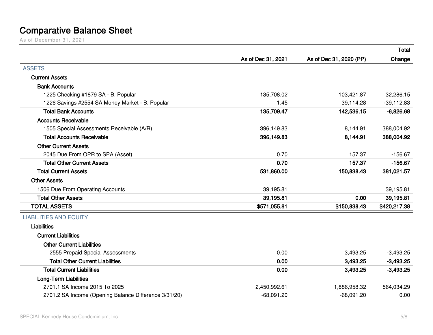## **Comparative Balance Sheet**

As of December 31, 2021

<span id="page-4-0"></span>

|                                                       |                    |                         | <b>Total</b> |
|-------------------------------------------------------|--------------------|-------------------------|--------------|
|                                                       | As of Dec 31, 2021 | As of Dec 31, 2020 (PP) | Change       |
| <b>ASSETS</b>                                         |                    |                         |              |
| <b>Current Assets</b>                                 |                    |                         |              |
| <b>Bank Accounts</b>                                  |                    |                         |              |
| 1225 Checking #1879 SA - B. Popular                   | 135,708.02         | 103,421.87              | 32,286.15    |
| 1226 Savings #2554 SA Money Market - B. Popular       | 1.45               | 39,114.28               | $-39,112.83$ |
| <b>Total Bank Accounts</b>                            | 135,709.47         | 142,536.15              | $-6,826.68$  |
| <b>Accounts Receivable</b>                            |                    |                         |              |
| 1505 Special Assessments Receivable (A/R)             | 396,149.83         | 8,144.91                | 388,004.92   |
| <b>Total Accounts Receivable</b>                      | 396,149.83         | 8,144.91                | 388,004.92   |
| <b>Other Current Assets</b>                           |                    |                         |              |
| 2045 Due From OPR to SPA (Asset)                      | 0.70               | 157.37                  | $-156.67$    |
| <b>Total Other Current Assets</b>                     | 0.70               | 157.37                  | $-156.67$    |
| <b>Total Current Assets</b>                           | 531,860.00         | 150,838.43              | 381,021.57   |
| <b>Other Assets</b>                                   |                    |                         |              |
| 1506 Due From Operating Accounts                      | 39,195.81          |                         | 39,195.81    |
| <b>Total Other Assets</b>                             | 39,195.81          | 0.00                    | 39,195.81    |
| <b>TOTAL ASSETS</b>                                   | \$571,055.81       | \$150,838.43            | \$420,217.38 |
| <b>LIABILITIES AND EQUITY</b>                         |                    |                         |              |
| <b>Liabilities</b>                                    |                    |                         |              |
| <b>Current Liabilities</b>                            |                    |                         |              |
| <b>Other Current Liabilities</b>                      |                    |                         |              |
| 2555 Prepaid Special Assessments                      | 0.00               | 3,493.25                | $-3,493.25$  |
| <b>Total Other Current Liabilities</b>                | 0.00               | 3,493.25                | $-3,493.25$  |
| <b>Total Current Liabilities</b>                      | 0.00               | 3,493.25                | $-3,493.25$  |
| <b>Long-Term Liabilities</b>                          |                    |                         |              |
| 2701.1 SA Income 2015 To 2025                         | 2,450,992.61       | 1,886,958.32            | 564,034.29   |
| 2701.2 SA Income (Opening Balance Difference 3/31/20) | $-68,091.20$       | $-68,091.20$            | 0.00         |
|                                                       |                    |                         |              |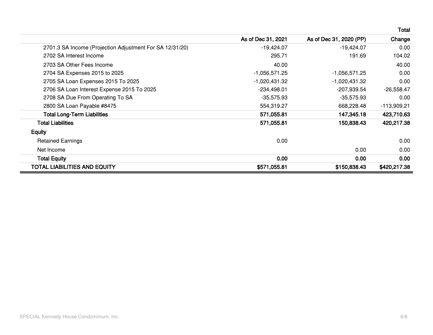|                                                          |                    |                         | Total             |
|----------------------------------------------------------|--------------------|-------------------------|-------------------|
|                                                          | As of Dec 31, 2021 | As of Dec 31, 2020 (PP) | Change            |
| 2701.3 SA Income (Projection Adjustment For SA 12/31/20) | $-19,424.07$       | -19,424.07              | 0.00              |
| 2702 SA Interest Income                                  | 295.71             | 191.69                  | 104.02            |
| 2703 SA Other Fees Income                                | 40.00              |                         | 40.00             |
| 2704 SA Expenses 2015 to 2025                            | $-1,056,571.25$    | $-1,056,571.25$         | 0.00              |
| 2705 SA Loan Expenses 2015 To 2025                       | $-1,020,431.32$    | $-1,020,431.32$         | 0.00              |
| 2706 SA Loan Interest Expense 2015 To 2025               | $-234,498.01$      | -207,939.54             | $-26,558.47$      |
| 2708 SA Due From Operating To SA                         | $-35,575.93$       | -35,575.93              | 0.00              |
| 2800 SA Loan Payable #8475                               | 554,319.27         | 668,228.48              | $-113,909.21$     |
| <b>Total Long-Term Liabilities</b>                       | 571,055.81         | 147,345.18              | 423,710.63        |
| <b>Total Liabilities</b>                                 | 571,055.81         | 150,838.43              | 420,217.38        |
| <b>Equity</b>                                            |                    |                         |                   |
| <b>Retained Earnings</b>                                 | 0.00               |                         | 0.00              |
| Net Income                                               |                    | 0.00                    | 0.00              |
| <b>Total Equity</b>                                      | 0.00 <sub>1</sub>  | 0.00 <sub>1</sub>       | 0.00 <sub>1</sub> |
| <b>TOTAL LIABILITIES AND EQUITY</b>                      | \$571,055.81       | \$150,838.43            | \$420,217.38      |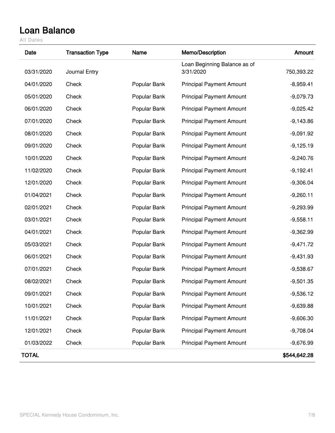### <span id="page-6-0"></span>**Loan Balance**

All Dates

| Date         | <b>Transaction Type</b> | Name         | Memo/Description                          | Amount       |
|--------------|-------------------------|--------------|-------------------------------------------|--------------|
| 03/31/2020   | Journal Entry           |              | Loan Beginning Balance as of<br>3/31/2020 | 750,393.22   |
| 04/01/2020   | Check                   | Popular Bank | <b>Principal Payment Amount</b>           | $-8,959.41$  |
| 05/01/2020   | Check                   | Popular Bank | <b>Principal Payment Amount</b>           | $-9,079.73$  |
| 06/01/2020   | Check                   | Popular Bank | <b>Principal Payment Amount</b>           | $-9,025.42$  |
| 07/01/2020   | Check                   | Popular Bank | <b>Principal Payment Amount</b>           | $-9,143.86$  |
| 08/01/2020   | Check                   | Popular Bank | <b>Principal Payment Amount</b>           | $-9,091.92$  |
| 09/01/2020   | Check                   | Popular Bank | <b>Principal Payment Amount</b>           | $-9,125.19$  |
| 10/01/2020   | Check                   | Popular Bank | <b>Principal Payment Amount</b>           | $-9,240.76$  |
| 11/02/2020   | Check                   | Popular Bank | <b>Principal Payment Amount</b>           | $-9,192.41$  |
| 12/01/2020   | Check                   | Popular Bank | <b>Principal Payment Amount</b>           | $-9,306.04$  |
| 01/04/2021   | Check                   | Popular Bank | <b>Principal Payment Amount</b>           | $-9,260.11$  |
| 02/01/2021   | Check                   | Popular Bank | <b>Principal Payment Amount</b>           | $-9,293.99$  |
| 03/01/2021   | Check                   | Popular Bank | <b>Principal Payment Amount</b>           | $-9,558.11$  |
| 04/01/2021   | Check                   | Popular Bank | <b>Principal Payment Amount</b>           | $-9,362.99$  |
| 05/03/2021   | Check                   | Popular Bank | <b>Principal Payment Amount</b>           | $-9,471.72$  |
| 06/01/2021   | Check                   | Popular Bank | <b>Principal Payment Amount</b>           | $-9,431.93$  |
| 07/01/2021   | Check                   | Popular Bank | <b>Principal Payment Amount</b>           | $-9,538.67$  |
| 08/02/2021   | Check                   | Popular Bank | <b>Principal Payment Amount</b>           | $-9,501.35$  |
| 09/01/2021   | Check                   | Popular Bank | <b>Principal Payment Amount</b>           | $-9,536.12$  |
| 10/01/2021   | Check                   | Popular Bank | <b>Principal Payment Amount</b>           | $-9,639.88$  |
| 11/01/2021   | Check                   | Popular Bank | <b>Principal Payment Amount</b>           | $-9,606.30$  |
| 12/01/2021   | Check                   | Popular Bank | <b>Principal Payment Amount</b>           | $-9,708.04$  |
| 01/03/2022   | Check                   | Popular Bank | <b>Principal Payment Amount</b>           | $-9,676.99$  |
| <b>TOTAL</b> |                         |              |                                           | \$544,642.28 |